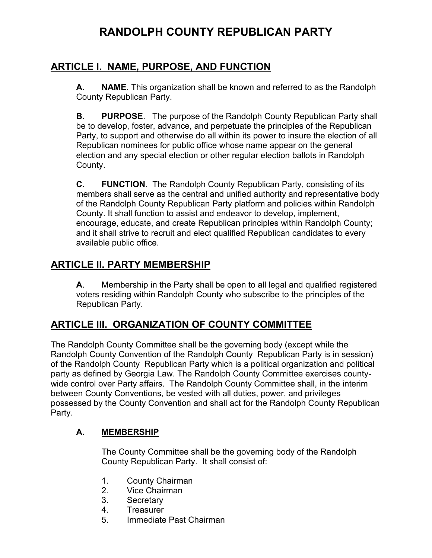# **RANDOLPH COUNTY REPUBLICAN PARTY**

## **ARTICLE I. NAME, PURPOSE, AND FUNCTION**

**A. NAME**. This organization shall be known and referred to as the Randolph County Republican Party.

**B. PURPOSE**. The purpose of the Randolph County Republican Party shall be to develop, foster, advance, and perpetuate the principles of the Republican Party, to support and otherwise do all within its power to insure the election of all Republican nominees for public office whose name appear on the general election and any special election or other regular election ballots in Randolph County.

**C. FUNCTION**. The Randolph County Republican Party, consisting of its members shall serve as the central and unified authority and representative body of the Randolph County Republican Party platform and policies within Randolph County. It shall function to assist and endeavor to develop, implement, encourage, educate, and create Republican principles within Randolph County; and it shall strive to recruit and elect qualified Republican candidates to every available public office.

## **ARTICLE II. PARTY MEMBERSHIP**

**A**. Membership in the Party shall be open to all legal and qualified registered voters residing within Randolph County who subscribe to the principles of the Republican Party.

## **ARTICLE III. ORGANIZATION OF COUNTY COMMITTEE**

The Randolph County Committee shall be the governing body (except while the Randolph County Convention of the Randolph County Republican Party is in session) of the Randolph County Republican Party which is a political organization and political party as defined by Georgia Law. The Randolph County Committee exercises countywide control over Party affairs. The Randolph County Committee shall, in the interim between County Conventions, be vested with all duties, power, and privileges possessed by the County Convention and shall act for the Randolph County Republican Party.

### **A. MEMBERSHIP**

The County Committee shall be the governing body of the Randolph County Republican Party. It shall consist of:

- 1. County Chairman
- 2. Vice Chairman
- 3. Secretary
- 4. Treasurer
- 5. Immediate Past Chairman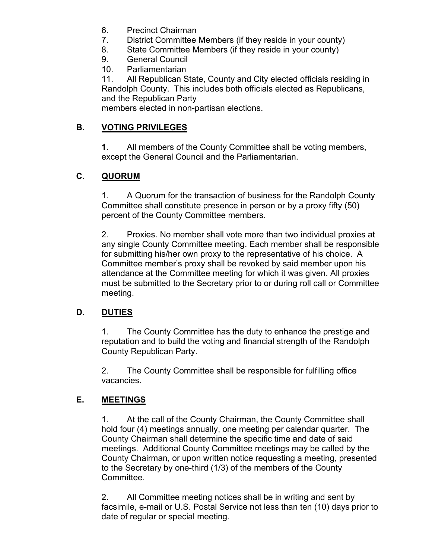- 6. Precinct Chairman
- 7. District Committee Members (if they reside in your county)
- 8. State Committee Members (if they reside in your county)
- 9. General Council
- 10. Parliamentarian

11. All Republican State, County and City elected officials residing in Randolph County. This includes both officials elected as Republicans, and the Republican Party

members elected in non-partisan elections.

## **B. VOTING PRIVILEGES**

**1.** All members of the County Committee shall be voting members, except the General Council and the Parliamentarian.

## **C. QUORUM**

1. A Quorum for the transaction of business for the Randolph County Committee shall constitute presence in person or by a proxy fifty (50) percent of the County Committee members.

2. Proxies. No member shall vote more than two individual proxies at any single County Committee meeting. Each member shall be responsible for submitting his/her own proxy to the representative of his choice. A Committee member's proxy shall be revoked by said member upon his attendance at the Committee meeting for which it was given. All proxies must be submitted to the Secretary prior to or during roll call or Committee meeting.

### **D. DUTIES**

1. The County Committee has the duty to enhance the prestige and reputation and to build the voting and financial strength of the Randolph County Republican Party.

2. The County Committee shall be responsible for fulfilling office vacancies.

### **E. MEETINGS**

1. At the call of the County Chairman, the County Committee shall hold four (4) meetings annually, one meeting per calendar quarter. The County Chairman shall determine the specific time and date of said meetings. Additional County Committee meetings may be called by the County Chairman, or upon written notice requesting a meeting, presented to the Secretary by one-third (1/3) of the members of the County Committee.

2. All Committee meeting notices shall be in writing and sent by facsimile, e-mail or U.S. Postal Service not less than ten (10) days prior to date of regular or special meeting.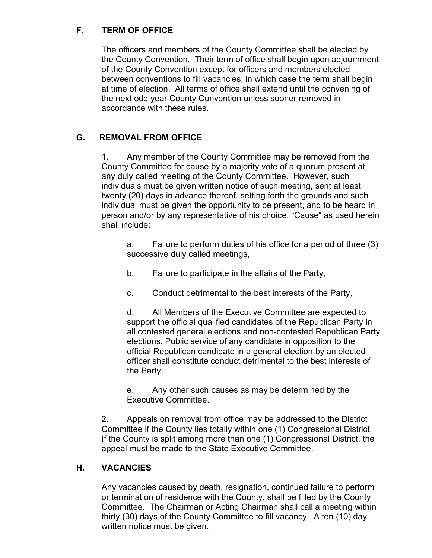### **F. TERM OF OFFICE**

The officers and members of the County Committee shall be elected by the County Convention. Their term of office shall begin upon adjournment of the County Convention except for officers and members elected between conventions to fill vacancies, in which case the term shall begin at time of election. All terms of office shall extend until the convening of the next odd year County Convention unless sooner removed in accordance with these rules.

#### **G. REMOVAL FROM OFFICE**

1. Any member of the County Committee may be removed from the County Committee for cause by a majority vote of a quorum present at any duly called meeting of the County Committee. However, such individuals must be given written notice of such meeting, sent at least twenty (20) days in advance thereof, setting forth the grounds and such individual must be given the opportunity to be present, and to be heard in person and/or by any representative of his choice. "Cause" as used herein shall include:

a. Failure to perform duties of his office for a period of three (3) successive duly called meetings,

b. Failure to participate in the affairs of the Party,

c. Conduct detrimental to the best interests of the Party,

d. All Members of the Executive Committee are expected to support the official qualified candidates of the Republican Party in all contested general elections and non-contested Republican Party elections. Public service of any candidate in opposition to the official Republican candidate in a general election by an elected officer shall constitute conduct detrimental to the best interests of the Party,

e. Any other such causes as may be determined by the Executive Committee.

2. Appeals on removal from office may be addressed to the District Committee if the County lies totally within one (1) Congressional District. If the County is split among more than one (1) Congressional District, the appeal must be made to the State Executive Committee.

### **H. VACANCIES**

Any vacancies caused by death, resignation, continued failure to perform or termination of residence with the County, shall be filled by the County Committee. The Chairman or Acting Chairman shall call a meeting within thirty (30) days of the County Committee to fill vacancy. A ten (10) day written notice must be given.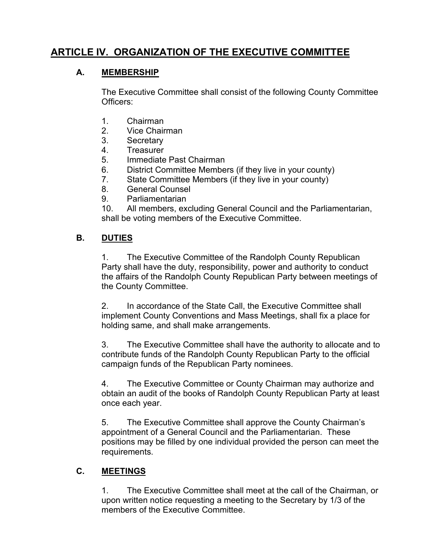## **ARTICLE IV. ORGANIZATION OF THE EXECUTIVE COMMITTEE**

#### **A. MEMBERSHIP**

The Executive Committee shall consist of the following County Committee Officers:

- 1. Chairman
- 2. Vice Chairman
- 3. Secretary
- 4. Treasurer
- 5. Immediate Past Chairman
- 6. District Committee Members (if they live in your county)
- 7. State Committee Members (if they live in your county)
- 8. General Counsel
- 9. Parliamentarian

10. All members, excluding General Council and the Parliamentarian, shall be voting members of the Executive Committee.

#### **B. DUTIES**

1. The Executive Committee of the Randolph County Republican Party shall have the duty, responsibility, power and authority to conduct the affairs of the Randolph County Republican Party between meetings of the County Committee.

2. In accordance of the State Call, the Executive Committee shall implement County Conventions and Mass Meetings, shall fix a place for holding same, and shall make arrangements.

3. The Executive Committee shall have the authority to allocate and to contribute funds of the Randolph County Republican Party to the official campaign funds of the Republican Party nominees.

4. The Executive Committee or County Chairman may authorize and obtain an audit of the books of Randolph County Republican Party at least once each year.

5. The Executive Committee shall approve the County Chairman's appointment of a General Council and the Parliamentarian. These positions may be filled by one individual provided the person can meet the requirements.

#### **C. MEETINGS**

1. The Executive Committee shall meet at the call of the Chairman, or upon written notice requesting a meeting to the Secretary by 1/3 of the members of the Executive Committee.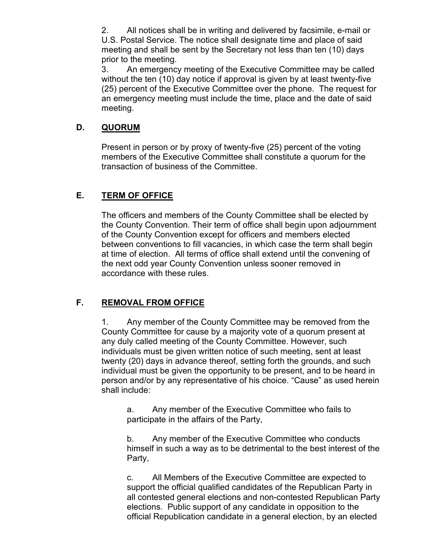2. All notices shall be in writing and delivered by facsimile, e-mail or U.S. Postal Service. The notice shall designate time and place of said meeting and shall be sent by the Secretary not less than ten (10) days prior to the meeting.

3. An emergency meeting of the Executive Committee may be called without the ten (10) day notice if approval is given by at least twenty-five (25) percent of the Executive Committee over the phone. The request for an emergency meeting must include the time, place and the date of said meeting.

#### **D. QUORUM**

Present in person or by proxy of twenty-five (25) percent of the voting members of the Executive Committee shall constitute a quorum for the transaction of business of the Committee.

#### **E. TERM OF OFFICE**

The officers and members of the County Committee shall be elected by the County Convention. Their term of office shall begin upon adjournment of the County Convention except for officers and members elected between conventions to fill vacancies, in which case the term shall begin at time of election. All terms of office shall extend until the convening of the next odd year County Convention unless sooner removed in accordance with these rules.

### **F. REMOVAL FROM OFFICE**

1. Any member of the County Committee may be removed from the County Committee for cause by a majority vote of a quorum present at any duly called meeting of the County Committee. However, such individuals must be given written notice of such meeting, sent at least twenty (20) days in advance thereof, setting forth the grounds, and such individual must be given the opportunity to be present, and to be heard in person and/or by any representative of his choice. "Cause" as used herein shall include:

a. Any member of the Executive Committee who fails to participate in the affairs of the Party,

b. Any member of the Executive Committee who conducts himself in such a way as to be detrimental to the best interest of the Party,

c. All Members of the Executive Committee are expected to support the official qualified candidates of the Republican Party in all contested general elections and non-contested Republican Party elections. Public support of any candidate in opposition to the official Republication candidate in a general election, by an elected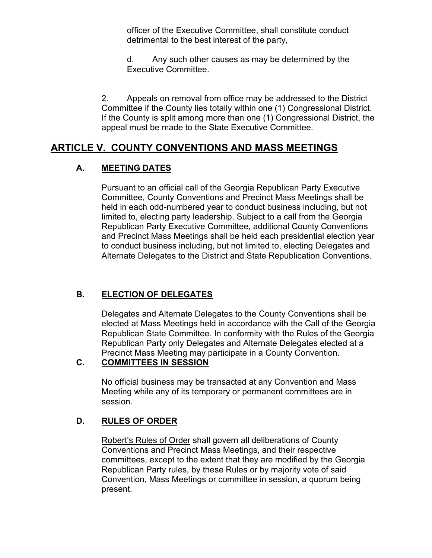officer of the Executive Committee, shall constitute conduct detrimental to the best interest of the party,

d. Any such other causes as may be determined by the Executive Committee.

2. Appeals on removal from office may be addressed to the District Committee if the County lies totally within one (1) Congressional District. If the County is split among more than one (1) Congressional District, the appeal must be made to the State Executive Committee.

## **ARTICLE V. COUNTY CONVENTIONS AND MASS MEETINGS**

### **A. MEETING DATES**

Pursuant to an official call of the Georgia Republican Party Executive Committee, County Conventions and Precinct Mass Meetings shall be held in each odd-numbered year to conduct business including, but not limited to, electing party leadership. Subject to a call from the Georgia Republican Party Executive Committee, additional County Conventions and Precinct Mass Meetings shall be held each presidential election year to conduct business including, but not limited to, electing Delegates and Alternate Delegates to the District and State Republication Conventions.

## **B. ELECTION OF DELEGATES**

Delegates and Alternate Delegates to the County Conventions shall be elected at Mass Meetings held in accordance with the Call of the Georgia Republican State Committee. In conformity with the Rules of the Georgia Republican Party only Delegates and Alternate Delegates elected at a Precinct Mass Meeting may participate in a County Convention.

### **C. COMMITTEES IN SESSION**

No official business may be transacted at any Convention and Mass Meeting while any of its temporary or permanent committees are in session.

## **D. RULES OF ORDER**

Robert's Rules of Order shall govern all deliberations of County Conventions and Precinct Mass Meetings, and their respective committees, except to the extent that they are modified by the Georgia Republican Party rules, by these Rules or by majority vote of said Convention, Mass Meetings or committee in session, a quorum being present.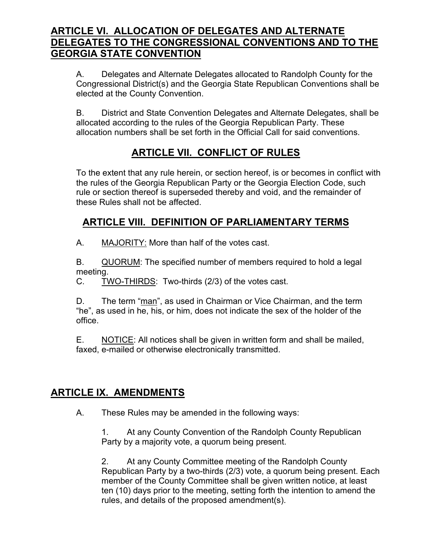## **ARTICLE VI. ALLOCATION OF DELEGATES AND ALTERNATE DELEGATES TO THE CONGRESSIONAL CONVENTIONS AND TO THE GEORGIA STATE CONVENTION**

A. Delegates and Alternate Delegates allocated to Randolph County for the Congressional District(s) and the Georgia State Republican Conventions shall be elected at the County Convention.

B. District and State Convention Delegates and Alternate Delegates, shall be allocated according to the rules of the Georgia Republican Party. These allocation numbers shall be set forth in the Official Call for said conventions.

## **ARTICLE VII. CONFLICT OF RULES**

To the extent that any rule herein, or section hereof, is or becomes in conflict with the rules of the Georgia Republican Party or the Georgia Election Code, such rule or section thereof is superseded thereby and void, and the remainder of these Rules shall not be affected.

## **ARTICLE VIII. DEFINITION OF PARLIAMENTARY TERMS**

A. MAJORITY: More than half of the votes cast.

B. QUORUM: The specified number of members required to hold a legal meeting.

C. TWO-THIRDS: Two-thirds (2/3) of the votes cast.

D. The term "man", as used in Chairman or Vice Chairman, and the term "he", as used in he, his, or him, does not indicate the sex of the holder of the office.

E. NOTICE: All notices shall be given in written form and shall be mailed, faxed, e-mailed or otherwise electronically transmitted.

## **ARTICLE IX. AMENDMENTS**

A. These Rules may be amended in the following ways:

1. At any County Convention of the Randolph County Republican Party by a majority vote, a quorum being present.

2. At any County Committee meeting of the Randolph County Republican Party by a two-thirds (2/3) vote, a quorum being present. Each member of the County Committee shall be given written notice, at least ten (10) days prior to the meeting, setting forth the intention to amend the rules, and details of the proposed amendment(s).